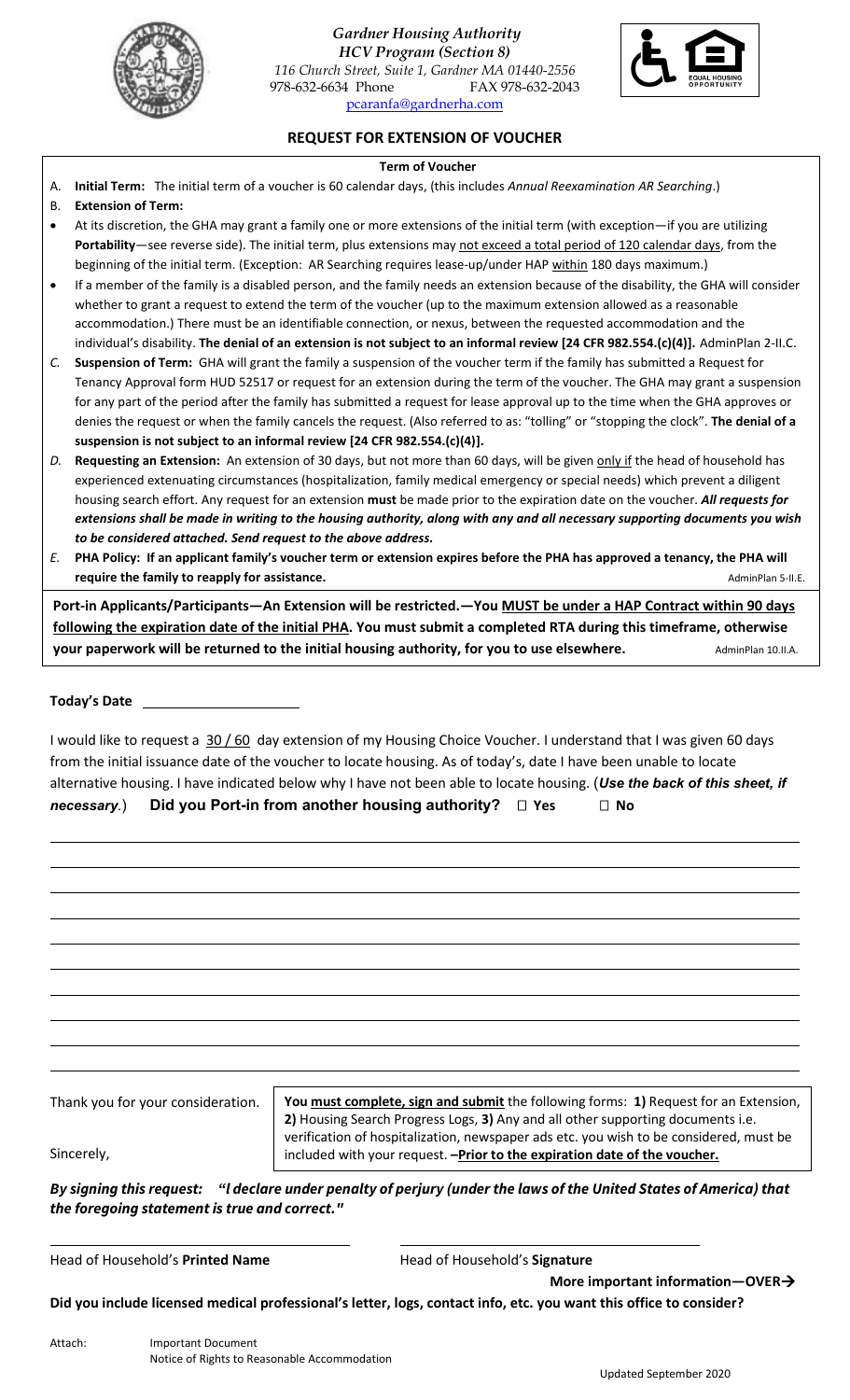

*Gardner Housing Authority*

*HCV Program (Section 8) 116 Church Street, Suite 1, Gardner MA 01440-2556* 978-632-6634 Phone FAX 978-632-2043 [pcaranfa@gardnerha.com](mailto:pcaranfa@gardnerha.com)



**REQUEST FOR EXTENSION OF VOUCHER**

### **Term of Voucher**

A. **Initial Term:** The initial term of a voucher is 60 calendar days, (this includes *Annual Reexamination AR Searching*.)

## B. **Extension of Term:**

- At its discretion, the GHA may grant a family one or more extensions of the initial term (with exception—if you are utilizing **Portability**—see reverse side). The initial term, plus extensions may not exceed a total period of 120 calendar days, from the beginning of the initial term. (Exception: AR Searching requires lease-up/under HAP within 180 days maximum.)
- If a member of the family is a disabled person, and the family needs an extension because of the disability, the GHA will consider whether to grant a request to extend the term of the voucher (up to the maximum extension allowed as a reasonable accommodation.) There must be an identifiable connection, or nexus, between the requested accommodation and the individual's disability. **The denial of an extension is not subject to an informal review [24 CFR 982.554.(c)(4)].** AdminPlan 2-II.C.
- *C.* **Suspension of Term:** GHA will grant the family a suspension of the voucher term if the family has submitted a Request for Tenancy Approval form HUD 52517 or request for an extension during the term of the voucher. The GHA may grant a suspension for any part of the period after the family has submitted a request for lease approval up to the time when the GHA approves or denies the request or when the family cancels the request. (Also referred to as: "tolling" or "stopping the clock". **The denial of a suspension is not subject to an informal review [24 CFR 982.554.(c)(4)].**
- D. Requesting an Extension: An extension of 30 days, but not more than 60 days, will be given only if the head of household has experienced extenuating circumstances (hospitalization, family medical emergency or special needs) which prevent a diligent housing search effort. Any request for an extension **must** be made prior to the expiration date on the voucher. *All requests for extensions shall be made in writing to the housing authority, along with any and all necessary supporting documents you wish to be considered attached. Send request to the above address.*
- *E.* **PHA Policy: If an applicant family's voucher term or extension expires before the PHA has approved a tenancy, the PHA will require the family to reapply for assistance. Adminitional state of the state of the state of the AdminPlan 5-II.E.**

**Port-in Applicants/Participants—An Extension will be restricted.—You MUST be under a HAP Contract within 90 days following the expiration date of the initial PHA. You must submit a completed RTA during this timeframe, otherwise your paperwork will be returned to the initial housing authority, for you to use elsewhere.** AdminPlan 10.II.A.

# **Today's Date**

I would like to request a 30 / 60 day extension of my Housing Choice Voucher. I understand that I was given 60 days from the initial issuance date of the voucher to locate housing. As of today's, date I have been unable to locate alternative housing. I have indicated below why I have not been able to locate housing. (*Use the back of this sheet, if*  **necessary.) Did you Port-in from another housing authority? □ Yes □ No** 

| Thank you for your consideration. | You must complete, sign and submit the following forms: 1) Request for an Extension,<br>2) Housing Search Progress Logs, 3) Any and all other supporting documents i.e. |  |  |  |
|-----------------------------------|-------------------------------------------------------------------------------------------------------------------------------------------------------------------------|--|--|--|
| Sincerely,                        | verification of hospitalization, newspaper ads etc. you wish to be considered, must be<br>included with your request. - Prior to the expiration date of the voucher.    |  |  |  |

*By signing this request: "l declare under penalty of perjury (under the laws of the United States of America) that the foregoing statement is true and correct."* 

Head of Household's **Printed Name** Head of Household's **Signature**

 **More important information—OVER**

**Did you include licensed medical professional's letter, logs, contact info, etc. you want this office to consider?**